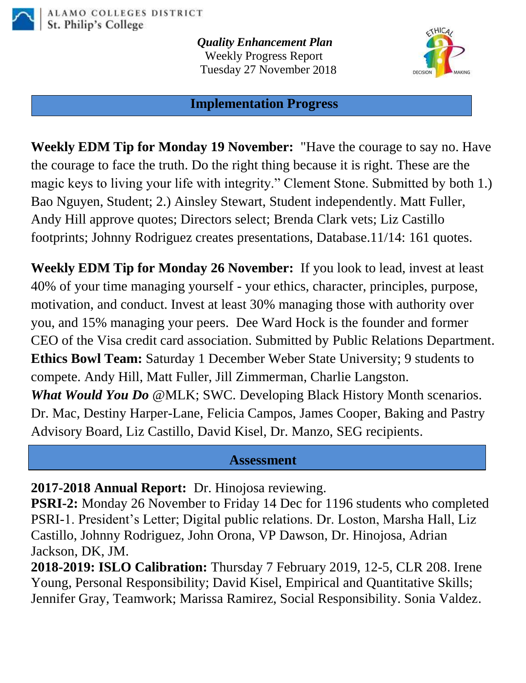

*Quality Enhancement Plan* Weekly Progress Report Tuesday 27 November 2018



#### **Implementation Progress**

**Weekly EDM Tip for Monday 19 November:** "Have the courage to say no. Have the courage to face the truth. Do the right thing because it is right. These are the magic keys to living your life with integrity." Clement Stone. Submitted by both 1.) Bao Nguyen, Student; 2.) Ainsley Stewart, Student independently. Matt Fuller, Andy Hill approve quotes; Directors select; Brenda Clark vets; Liz Castillo footprints; Johnny Rodriguez creates presentations, Database.11/14: 161 quotes.

**Weekly EDM Tip for Monday 26 November:** If you look to lead, invest at least 40% of your time managing yourself - your ethics, character, principles, purpose, motivation, and conduct. Invest at least 30% managing those with authority over you, and 15% managing your peers. Dee Ward Hock is the founder and former CEO of the Visa credit card association. Submitted by Public Relations Department. **Ethics Bowl Team:** Saturday 1 December Weber State University; 9 students to compete. Andy Hill, Matt Fuller, Jill Zimmerman, Charlie Langston. *What Would You Do* @MLK; SWC. Developing Black History Month scenarios. Dr. Mac, Destiny Harper-Lane, Felicia Campos, James Cooper, Baking and Pastry Advisory Board, Liz Castillo, David Kisel, Dr. Manzo, SEG recipients.

#### **Assessment**

**2017-2018 Annual Report:** Dr. Hinojosa reviewing.

**PSRI-2:** Monday 26 November to Friday 14 Dec for 1196 students who completed PSRI-1. President's Letter; Digital public relations. Dr. Loston, Marsha Hall, Liz Castillo, Johnny Rodriguez, John Orona, VP Dawson, Dr. Hinojosa, Adrian Jackson, DK, JM.

**2018-2019: ISLO Calibration:** Thursday 7 February 2019, 12-5, CLR 208. Irene Young, Personal Responsibility; David Kisel, Empirical and Quantitative Skills; Jennifer Gray, Teamwork; Marissa Ramirez, Social Responsibility. Sonia Valdez.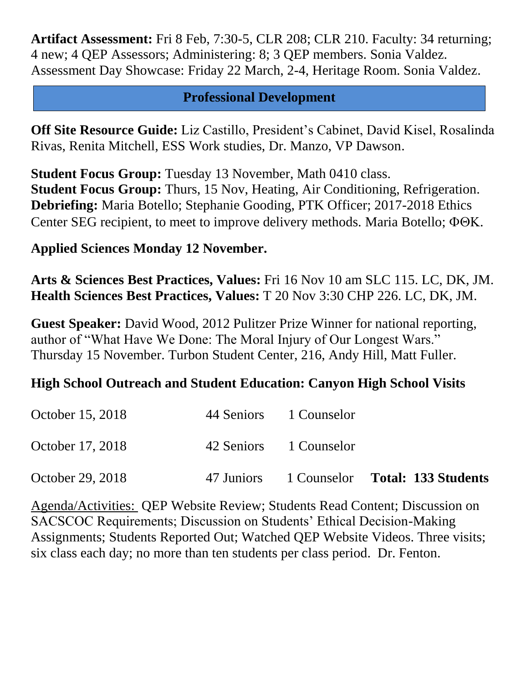**Artifact Assessment:** Fri 8 Feb, 7:30-5, CLR 208; CLR 210. Faculty: 34 returning; 4 new; 4 QEP Assessors; Administering: 8; 3 QEP members. Sonia Valdez. Assessment Day Showcase: Friday 22 March, 2-4, Heritage Room. Sonia Valdez.

## **Professional Development**

**Off Site Resource Guide:** Liz Castillo, President's Cabinet, David Kisel, Rosalinda Rivas, Renita Mitchell, ESS Work studies, Dr. Manzo, VP Dawson.

**Student Focus Group:** Tuesday 13 November, Math 0410 class. **Student Focus Group:** Thurs, 15 Nov, Heating, Air Conditioning, Refrigeration. **Debriefing:** Maria Botello; Stephanie Gooding, PTK Officer; 2017-2018 Ethics Center SEG recipient, to meet to improve delivery methods. Maria Botello;  $\Phi \Theta K$ .

# **Applied Sciences Monday 12 November.**

**Arts & Sciences Best Practices, Values:** Fri 16 Nov 10 am SLC 115. LC, DK, JM. **Health Sciences Best Practices, Values:** T 20 Nov 3:30 CHP 226. LC, DK, JM.

**Guest Speaker:** David Wood, 2012 Pulitzer Prize Winner for national reporting, author of "What Have We Done: The Moral Injury of Our Longest Wars." Thursday 15 November. Turbon Student Center, 216, Andy Hill, Matt Fuller.

# **High School Outreach and Student Education: Canyon High School Visits**

| October 29, 2018 |                        | 47 Juniors 1 Counselor Total: 133 Students |
|------------------|------------------------|--------------------------------------------|
| October 17, 2018 | 42 Seniors 1 Counselor |                                            |
| October 15, 2018 | 44 Seniors 1 Counselor |                                            |

Agenda/Activities: QEP Website Review; Students Read Content; Discussion on SACSCOC Requirements; Discussion on Students' Ethical Decision-Making Assignments; Students Reported Out; Watched QEP Website Videos. Three visits; six class each day; no more than ten students per class period. Dr. Fenton.